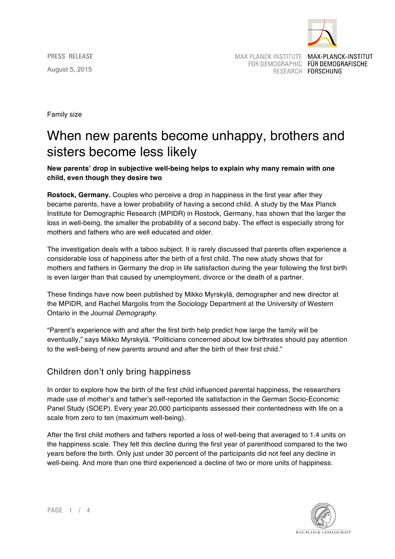

*PRESS RELEASE* August 5, 2015

MAX PLANCK INSTITUTE MAX-PLANCK-INSTITUT

FOR DEMOGRAPHIC FÜR DEMOGRAFISCHE RESEARCH FORSCHUNG

Family size

# When new parents become unhappy, brothers and sisters become less likely

**New parents' drop in subjective well-being helps to explain why many remain with one child, even though they desire two**

**Rostock, Germany.** Couples who perceive a drop in happiness in the first year after they became parents, have a lower probability of having a second child. A study by the Max Planck Institute for Demographic Research (MPIDR) in Rostock, Germany, has shown that the larger the loss in well-being, the smaller the probability of a second baby. The effect is especially strong for mothers and fathers who are well educated and older.

The investigation deals with a taboo subject. It is rarely discussed that parents often experience a considerable loss of happiness after the birth of a first child. The new study shows that for mothers and fathers in Germany the drop in life satisfaction during the year following the first birth is even larger than that caused by unemployment, divorce or the death of a partner.

These findings have now been published by Mikko Myrskylä, demographer and new director at the MPIDR, and Rachel Margolis from the Sociology Department at the University of Western Ontario in the Journal *Demography*.

"Parent's experience with and after the first birth help predict how large the family will be eventually," says Mikko Myrskylä. "Politicians concerned about low birthrates should pay attention to the well-being of new parents around and after the birth of their first child."

## Children don't only bring happiness

In order to explore how the birth of the first child influenced parental happiness, the researchers made use of mother's and father's self-reported life satisfaction in the German Socio-Economic Panel Study (SOEP). Every year 20,000 participants assessed their contentedness with life on a scale from zero to ten (maximum well-being).

After the first child mothers and fathers reported a loss of well-being that averaged to 1.4 units on the happiness scale. They felt this decline during the first year of parenthood compared to the two years before the birth. Only just under 30 percent of the participants did not feel any decline in well-being. And more than one third experienced a decline of two or more units of happiness.



*PAGE 1 / 4*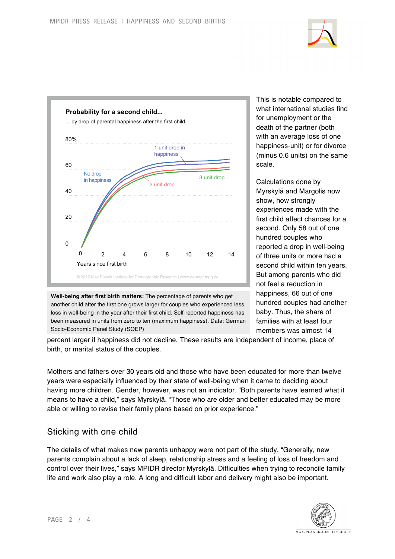



**Well-being after first birth matters:** The percentage of parents who get another child after the first one grows larger for couples who experienced less loss in well-being in the year after their first child. Self-reported happiness has been measured in units from zero to ten (maximum happiness). Data: German Socio-Economic Panel Study (SOEP)

This is notable compared to what international studies find for unemployment or the death of the partner (both with an average loss of one happiness-unit) or for divorce (minus 0.6 units) on the same scale.

Calculations done by Myrskylä and Margolis now show, how strongly experiences made with the first child affect chances for a second. Only 58 out of one hundred couples who reported a drop in well-being of three units or more had a second child within ten years. But among parents who did not feel a reduction in happiness, 66 out of one hundred couples had another baby. Thus, the share of families with at least four members was almost 14

percent larger if happiness did not decline. These results are independent of income, place of birth, or marital status of the couples.

Mothers and fathers over 30 years old and those who have been educated for more than twelve years were especially influenced by their state of well-being when it came to deciding about having more children. Gender, however, was not an indicator. "Both parents have learned what it means to have a child," says Myrskylä. "Those who are older and better educated may be more able or willing to revise their family plans based on prior experience."

### Sticking with one child

The details of what makes new parents unhappy were not part of the study. "Generally, new parents complain about a lack of sleep, relationship stress and a feeling of loss of freedom and control over their lives," says MPIDR director Myrskylä. Difficulties when trying to reconcile family life and work also play a role. A long and difficult labor and delivery might also be important.

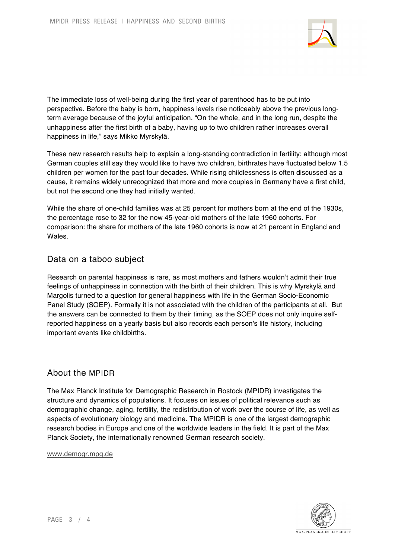

The immediate loss of well-being during the first year of parenthood has to be put into perspective. Before the baby is born, happiness levels rise noticeably above the previous longterm average because of the joyful anticipation. "On the whole, and in the long run, despite the unhappiness after the first birth of a baby, having up to two children rather increases overall happiness in life," says Mikko Myrskylä.

These new research results help to explain a long-standing contradiction in fertility: although most German couples still say they would like to have two children, birthrates have fluctuated below 1.5 children per women for the past four decades. While rising childlessness is often discussed as a cause, it remains widely unrecognized that more and more couples in Germany have a first child, but not the second one they had initially wanted.

While the share of one-child families was at 25 percent for mothers born at the end of the 1930s, the percentage rose to 32 for the now 45-year-old mothers of the late 1960 cohorts. For comparison: the share for mothers of the late 1960 cohorts is now at 21 percent in England and Wales.

### Data on a taboo subject

Research on parental happiness is rare, as most mothers and fathers wouldn't admit their true feelings of unhappiness in connection with the birth of their children. This is why Myrskylä and Margolis turned to a question for general happiness with life in the German Socio-Economic Panel Study (SOEP). Formally it is not associated with the children of the participants at all. But the answers can be connected to them by their timing, as the SOEP does not only inquire selfreported happiness on a yearly basis but also records each person's life history, including important events like childbirths.

#### About the MPIDR

The Max Planck Institute for Demographic Research in Rostock (MPIDR) investigates the structure and dynamics of populations. It focuses on issues of political relevance such as demographic change, aging, fertility, the redistribution of work over the course of life, as well as aspects of evolutionary biology and medicine. The MPIDR is one of the largest demographic research bodies in Europe and one of the worldwide leaders in the field. It is part of the Max Planck Society, the internationally renowned German research society.

www.demogr.mpg.de